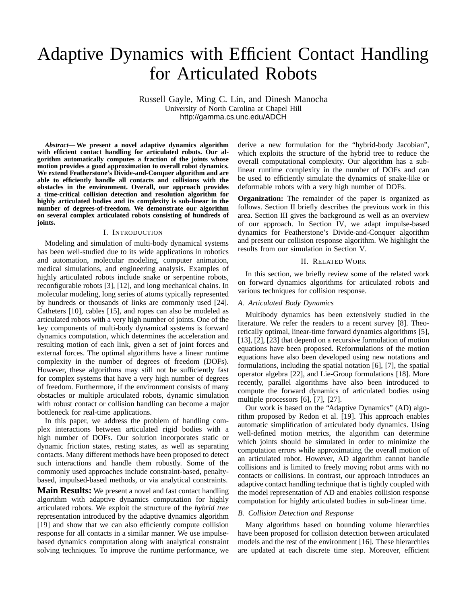# Adaptive Dynamics with Efficient Contact Handling for Articulated Robots

Russell Gayle, Ming C. Lin, and Dinesh Manocha University of North Carolina at Chapel Hill http://gamma.cs.unc.edu/ADCH

*Abstract***— We present a novel adaptive dynamics algorithm with efficient contact handling for articulated robots. Our algorithm automatically computes a fraction of the joints whose motion provides a good approximation to overall robot dynamics. We extend Featherstone's Divide-and-Conquer algorithm and are able to efficiently handle all contacts and collisions with the obstacles in the environment. Overall, our approach provides a time-critical collision detection and resolution algorithm for highly articulated bodies and its complexity is sub-linear in the number of degrees-of-freedom. We demonstrate our algorithm on several complex articulated robots consisting of hundreds of joints.**

# I. INTRODUCTION

Modeling and simulation of multi-body dynamical systems has been well-studied due to its wide applications in robotics and automation, molecular modeling, computer animation, medical simulations, and engineering analysis. Examples of highly articulated robots include snake or serpentine robots, reconfigurable robots [3], [12], and long mechanical chains. In molecular modeling, long series of atoms typically represented by hundreds or thousands of links are commonly used [24]. Catheters [10], cables [15], and ropes can also be modeled as articulated robots with a very high number of joints. One of the key components of multi-body dynamical systems is forward dynamics computation, which determines the acceleration and resulting motion of each link, given a set of joint forces and external forces. The optimal algorithms have a linear runtime complexity in the number of degrees of freedom (DOFs). However, these algorithms may still not be sufficiently fast for complex systems that have a very high number of degrees of freedom. Furthermore, if the environment consists of many obstacles or multiple articulated robots, dynamic simulation with robust contact or collision handling can become a major bottleneck for real-time applications.

In this paper, we address the problem of handling complex interactions between articulated rigid bodies with a high number of DOFs. Our solution incorporates static or dynamic friction states, resting states, as well as separating contacts. Many different methods have been proposed to detect such interactions and handle them robustly. Some of the commonly used approaches include constraint-based, penaltybased, impulsed-based methods, or via analytical constraints.

**Main Results:** We present a novel and fast contact handling algorithm with adaptive dynamics computation for highly articulated robots. We exploit the structure of the *hybrid tree* representation introduced by the adaptive dynamics algorithm [19] and show that we can also efficiently compute collision response for all contacts in a similar manner. We use impulsebased dynamics computation along with analytical constraint solving techniques. To improve the runtime performance, we derive a new formulation for the "hybrid-body Jacobian", which exploits the structure of the hybrid tree to reduce the overall computational complexity. Our algorithm has a sublinear runtime complexity in the number of DOFs and can be used to efficiently simulate the dynamics of snake-like or deformable robots with a very high number of DOFs.

**Organization:** The remainder of the paper is organized as follows. Section II briefly describes the previous work in this area. Section III gives the background as well as an overview of our approach. In Section IV, we adapt impulse-based dynamics for Featherstone's Divide-and-Conquer algorithm and present our collision response algorithm. We highlight the results from our simulation in Section V.

#### II. RELATED WORK

In this section, we briefly review some of the related work on forward dynamics algorithms for articulated robots and various techniques for collision response.

# *A. Articulated Body Dynamics*

Multibody dynamics has been extensively studied in the literature. We refer the readers to a recent survey [8]. Theoretically optimal, linear-time forward dynamics algorithms [5], [13], [2], [23] that depend on a recursive formulation of motion equations have been proposed. Reformulations of the motion equations have also been developed using new notations and formulations, including the spatial notation [6], [7], the spatial operator algebra [22], and Lie-Group formulations [18]. More recently, parallel algorithms have also been introduced to compute the forward dynamics of articulated bodies using multiple processors [6], [7], [27].

Our work is based on the "Adaptive Dynamics" (AD) algorithm proposed by Redon et al. [19]. This approach enables automatic simplification of articulated body dynamics. Using well-defined motion metrics, the algorithm can determine which joints should be simulated in order to minimize the computation errors while approximating the overall motion of an articulated robot. However, AD algorithm cannot handle collisions and is limited to freely moving robot arms with no contacts or collisions. In contrast, our approach introduces an adaptive contact handling technique that is tightly coupled with the model representation of AD and enables collision response computation for highly articulated bodies in sub-linear time.

# *B. Collision Detection and Response*

Many algorithms based on bounding volume hierarchies have been proposed for collision detection between articulated models and the rest of the environment [16]. These hierarchies are updated at each discrete time step. Moreover, efficient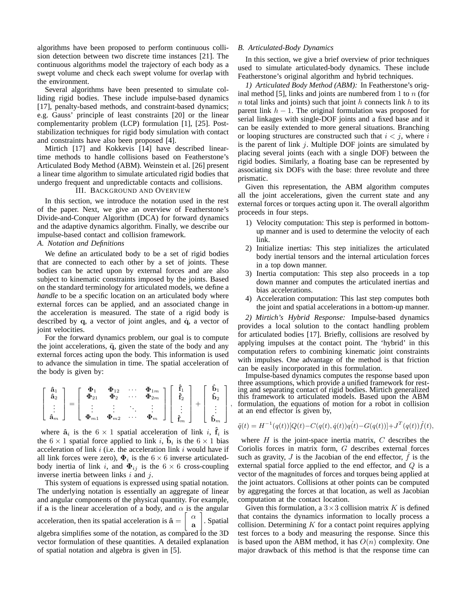algorithms have been proposed to perform continuous collision detection between two discrete time instances [21]. The continuous algorithms model the trajectory of each body as a swept volume and check each swept volume for overlap with the environment.

Several algorithms have been presented to simulate colliding rigid bodies. These include impulse-based dynamics [17], penalty-based methods, and constraint-based dynamics; e.g. Gauss' principle of least constraints [20] or the linear complementarity problem (LCP) formulation [1], [25]. Poststabilization techniques for rigid body simulation with contact and constraints have also been proposed [4].

Mirtich [17] and Kokkevis [14] have described lineartime methods to handle collisions based on Featherstone's Articulated Body Method (ABM). Weinstein et al. [26] present a linear time algorithm to simulate articulated rigid bodies that undergo frequent and unpredictable contacts and collisions.

## III. BACKGROUND AND OVERVIEW

In this section, we introduce the notation used in the rest of the paper. Next, we give an overview of Featherstone's Divide-and-Conquer Algorithm (DCA) for forward dynamics and the adaptive dynamics algorithm. Finally, we describe our impulse-based contact and collision framework.

# *A. Notation and Definitions*

We define an articulated body to be a set of rigid bodies that are connected to each other by a set of joints. These bodies can be acted upon by external forces and are also subject to kinematic constraints imposed by the joints. Based on the standard terminology for articulated models, we define a *handle* to be a specific location on an articulated body where external forces can be applied, and an associated change in the acceleration is measured. The state of a rigid body is described by  $q$ , a vector of joint angles, and  $\dot{q}$ , a vector of joint velocities.

For the forward dynamics problem, our goal is to compute the joint accelerations,  $\ddot{q}$ , given the state of the body and any external forces acting upon the body. This information is used to advance the simulation in time. The spatial acceleration of the body is given by:

|  |  | $\left[\begin{array}{c} \hat{\mathbf{a}}_1\\ \hat{\mathbf{a}}_2\\ \vdots\\ \hat{\mathbf{a}}_m \end{array}\right] = \left[\begin{array}{cccc} \pmb{\Phi}_1 & \pmb{\Phi}_{12} & \cdots & \pmb{\Phi}_{1m}\\ \pmb{\Phi}_{21} & \pmb{\Phi}_2 & \cdots & \pmb{\Phi}_{2m}\\ \vdots & \vdots & \ddots & \vdots\\ \pmb{\Phi}_{m1} & \pmb{\Phi}_{m2} & \cdots & \pmb{\Phi}_{m} \end{array}\right] \left[\begin{array}{c} \hat{\mathbf{f}}_1\\ \hat{\mathbf{f}}_2\\ \vdots\\ \hat{\mathbf{$ |  |  |
|--|--|----------------------------------------------------------------------------------------------------------------------------------------------------------------------------------------------------------------------------------------------------------------------------------------------------------------------------------------------------------------------------------------------------------------------------------------------------------------------------------|--|--|

,

where  $\hat{a}_i$  is the  $6 \times 1$  spatial acceleration of link i,  $\hat{f}_i$  is the  $6 \times 1$  spatial force applied to link *i*,  $\hat{\mathbf{b}}_i$  is the  $6 \times 1$  bias acceleration of link  $i$  (i.e. the acceleration link  $i$  would have if all link forces were zero),  $\Phi_i$  is the  $6 \times 6$  inverse articulatedbody inertia of link i, and  $\Phi_{ij}$  is the 6  $\times$  6 cross-coupling inverse inertia between links  $i$  and  $j$ .

This system of equations is expressed using spatial notation. The underlying notation is essentially an aggregate of linear and angular components of the physical quantity. For example, if a is the linear acceleration of a body, and  $\alpha$  is the angular acceleration, then its spatial acceleration is  $\hat{a}$  =  $\lceil \alpha \rceil$ a . Spatial algebra simplifies some of the notation, as compared to the 3D vector formulation of these quantities. A detailed explanation of spatial notation and algebra is given in [5].

#### *B. Articulated-Body Dynamics*

In this section, we give a brief overview of prior techniques used to simulate articulated-body dynamics. These include Featherstone's original algorithm and hybrid techniques.

*1) Articulated Body Method (ABM):* In Featherstone's original method [5], links and joints are numbered from 1 to  $n$  (for  $n$  total links and joints) such that joint  $h$  connects link  $h$  to its parent link  $h - 1$ . The original formulation was proposed for serial linkages with single-DOF joints and a fixed base and it can be easily extended to more general situations. Branching or looping structures are constructed such that  $i < j$ , where i is the parent of link  $j$ . Multiple DOF joints are simulated by placing several joints (each with a single DOF) between the rigid bodies. Similarly, a floating base can be represented by associating six DOFs with the base: three revolute and three prismatic.

Given this representation, the ABM algorithm computes all the joint accelerations, given the current state and any external forces or torques acting upon it. The overall algorithm proceeds in four steps.

- 1) Velocity computation: This step is performed in bottomup manner and is used to determine the velocity of each link.
- 2) Initialize inertias: This step initializes the articulated body inertial tensors and the internal articulation forces in a top down manner.
- 3) Inertia computation: This step also proceeds in a top down manner and computes the articulated inertias and bias accelerations.
- 4) Acceleration computation: This last step computes both the joint and spatial accelerations in a bottom-up manner.

*2) Mirtich's Hybrid Response:* Impulse-based dynamics provides a local solution to the contact handling problem for articulated bodies [17]. Briefly, collisions are resolved by applying impulses at the contact point. The 'hybrid' in this computation refers to combining kinematic joint constraints with impulses. One advantage of the method is that friction can be easily incorporated in this formulation.

Impulse-based dynamics computes the response based upon three assumptions, which provide a unified framework for resting and separating contact of rigid bodies. Mirtich generalized this framework to articulated models. Based upon the ABM formulation, the equations of motion for a robot in collision at an end effector is given by,

$$
\ddot{q}(t) = H^{-1}(q(t))[Q(t) - C(q(t), \dot{q}(t))q(t) - G(q(t))] + J^T(q(t))\hat{f}(t),
$$

where  $H$  is the joint-space inertia matrix,  $C$  describes the Coriolis forces in matrix form, G describes external forces such as gravity,  $J$  is the Jacobian of the end effector,  $f$  is the external spatial force applied to the end effector, and Q is a vector of the magnitudes of forces and torques being applied at the joint actuators. Collisions at other points can be computed by aggregating the forces at that location, as well as Jacobian computation at the contact location.

Given this formulation, a  $3 \times 3$  collision matrix K is defined that contains the dynamics information to locally process a collision. Determining  $K$  for a contact point requires applying test forces to a body and measuring the response. Since this is based upon the ABM method, it has  $O(n)$  complexity. One major drawback of this method is that the response time can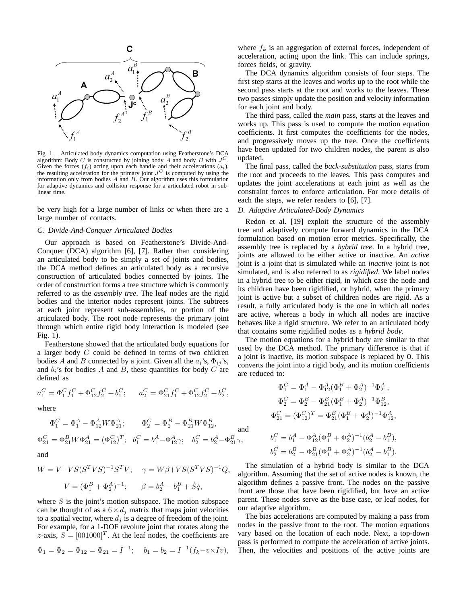

Fig. 1. Articulated body dynamics computation using Featherstone's DCA algorithm: Body C is constructed by joining body A and body B with  $J^C$ . Given the forces  $(f_i)$  acting upon each handle and their accelerations  $(a_i)$ , the resulting acceleration for the primary joint  $J<sup>C</sup>$  is computed by using the information only from bodies  $A$  and  $B$ . Our algorithm uses this formulation for adaptive dynamics and collision response for a articulated robot in sublinear time.

be very high for a large number of links or when there are a large number of contacts.

# *C. Divide-And-Conquer Articulated Bodies*

Our approach is based on Featherstone's Divide-And-Conquer (DCA) algorithm [6], [7]. Rather than considering an articulated body to be simply a set of joints and bodies, the DCA method defines an articulated body as a recursive construction of articulated bodies connected by joints. The order of construction forms a tree structure which is commonly referred to as the *assembly tree*. The leaf nodes are the rigid bodies and the interior nodes represent joints. The subtrees at each joint represent sub-assemblies, or portion of the articulated body. The root node represents the primary joint through which entire rigid body interaction is modeled (see Fig. 1).

Featherstone showed that the articulated body equations for a larger body  $C$  could be defined in terms of two children bodies A and B connected by a joint. Given all the  $a_i$ 's,  $\Phi_{ij}$ 's, and  $b_i$ 's for bodies A and B, these quantities for body C are defined as

$$
a_1^C = \Phi_1^C f_1^C + \Phi_{12}^C f_2^C + b_1^C; \qquad a_2^C = \Phi_{21}^C f_1^C + \Phi_{12}^C f_2^C + b_2^C,
$$

where

$$
\begin{aligned} \Phi_1^C&=\Phi_1^A-\Phi_{12}^A W \Phi_{21}^A; \qquad \Phi_2^C=\Phi_2^B-\Phi_{21}^B W \Phi_{12}^B,\\ \Phi_{21}^C&=\Phi_{21}^B W \Phi_{21}^A=(\Phi_{12}^C)^T; \quad b_1^C&=b_1^A-\Phi_{12}^A \gamma; \quad b_2^C&=b_2^A-\Phi_{21}^B \gamma,\\ \text{and} \end{aligned}
$$

$$
W = V - VS(S^TVS)^{-1}S^TV; \quad \gamma = W\beta + VS(S^TVS)^{-1}Q,
$$
  

$$
V = (\Phi_1^B + \Phi_2^A)^{-1}; \qquad \beta = b_2^A - b_1^B + S\dot{q},
$$

where  $S$  is the joint's motion subspace. The motion subspace can be thought of as a  $6 \times d_i$  matrix that maps joint velocities to a spatial vector, where  $d_j$  is a degree of freedom of the joint. For example, for a 1-DOF revolute joint that rotates along the z-axis,  $S = [001000]^T$ . At the leaf nodes, the coefficients are

$$
\Phi_1 = \Phi_2 = \Phi_{12} = \Phi_{21} = I^{-1};
$$
  $b_1 = b_2 = I^{-1}(f_k - v \times I_v),$ 

where  $f_k$  is an aggregation of external forces, independent of acceleration, acting upon the link. This can include springs, forces fields, or gravity.

The DCA dynamics algorithm consists of four steps. The first step starts at the leaves and works up to the root while the second pass starts at the root and works to the leaves. These two passes simply update the position and velocity information for each joint and body.

The third pass, called the *main* pass, starts at the leaves and works up. This pass is used to compute the motion equation coefficients. It first computes the coefficients for the nodes, and progressively moves up the tree. Once the coefficients have been updated for two children nodes, the parent is also updated.

The final pass, called the *back-substitution* pass, starts from the root and proceeds to the leaves. This pass computes and updates the joint accelerations at each joint as well as the constraint forces to enforce articulation. For more details of each the steps, we refer readers to [6], [7].

# *D. Adaptive Articulated-Body Dynamics*

Redon et al. [19] exploit the structure of the assembly tree and adaptively compute forward dynamics in the DCA formulation based on motion error metrics. Specifically, the assembly tree is replaced by a *hybrid tree*. In a hybrid tree, joints are allowed to be either active or inactive. An *active* joint is a joint that is simulated while an *inactive* joint is not simulated, and is also referred to as *rigidified*. We label nodes in a hybrid tree to be either rigid, in which case the node and its children have been rigidified, or hybrid, when the primary joint is active but a subset of children nodes are rigid. As a result, a fully articulated body is the one in which all nodes are active, whereas a body in which all nodes are inactive behaves like a rigid structure. We refer to an articulated body that contains some rigidified nodes as a *hybrid body*.

The motion equations for a hybrid body are similar to that used by the DCA method. The primary difference is that if a joint is inactive, its motion subspace is replaced by 0. This converts the joint into a rigid body, and its motion coefficients are reduced to:

$$
\Phi_1^C = \Phi_1^A - \Phi_{12}^A (\Phi_1^B + \Phi_2^A)^{-1} \Phi_{21}^A,
$$
  
\n
$$
\Phi_2^C = \Phi_2^B - \Phi_{21}^B (\Phi_1^B + \Phi_2^A)^{-1} \Phi_{12}^B,
$$
  
\n
$$
\Phi_{21}^C = (\Phi_{12}^C)^T = \Phi_{21}^B (\Phi_1^B + \Phi_2^A)^{-1} \Phi_{12}^A,
$$
  
\n
$$
b_1^C = b_1^A - \Phi_{12}^A (\Phi_1^B + \Phi_2^A)^{-1} (b_2^A - b_1^B),
$$
  
\n
$$
b_2^C = b_2^B - \Phi_{21}^B (\Phi_1^B + \Phi_2^A)^{-1} (b_2^A - b_1^B).
$$

The simulation of a hybrid body is similar to the DCA algorithm. Assuming that the set of active nodes is known, the algorithm defines a passive front. The nodes on the passive front are those that have been rigidified, but have an active parent. These nodes serve as the base case, or leaf nodes, for our adaptive algorithm.

The bias accelerations are computed by making a pass from nodes in the passive front to the root. The motion equations vary based on the location of each node. Next, a top-down pass is performed to compute the acceleration of active joints. Then, the velocities and positions of the active joints are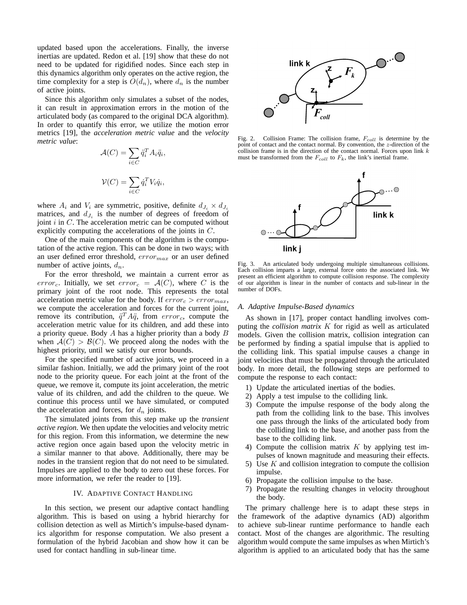updated based upon the accelerations. Finally, the inverse inertias are updated. Redon et al. [19] show that these do not need to be updated for rigidified nodes. Since each step in this dynamics algorithm only operates on the active region, the time complexity for a step is  $O(d_n)$ , where  $d_n$  is the number of active joints.

Since this algorithm only simulates a subset of the nodes, it can result in approximation errors in the motion of the articulated body (as compared to the original DCA algorithm). In order to quantify this error, we utilize the motion error metrics [19], the *acceleration metric value* and the *velocity metric value*:

$$
\mathcal{A}(C) = \sum_{i \in C} \ddot{q}_i^T A_i \ddot{q}_i,
$$
  

$$
\mathcal{V}(C) = \sum_{i \in C} \dot{q}_i^T V_i \dot{q}_i,
$$

where  $A_i$  and  $V_i$  are symmetric, positive, definite  $d_{J_i} \times d_{J_i}$ matrices, and  $d_{J_i}$  is the number of degrees of freedom of joint  $i$  in  $C$ . The acceleration metric can be computed without explicitly computing the accelerations of the joints in C.

One of the main components of the algorithm is the computation of the active region. This can be done in two ways; with an user defined error threshold,  $error_{max}$  or an user defined number of active joints,  $d_n$ .

For the error threshold, we maintain a current error as error<sub>c</sub>. Initially, we set error<sub>c</sub> =  $\mathcal{A}(C)$ , where C is the primary joint of the root node. This represents the total acceleration metric value for the body. If  $error_c > error_{max}$ , we compute the acceleration and forces for the current joint, remove its contribution,  $\ddot{q}^T A \ddot{q}$ , from  $error_c$ , compute the acceleration metric value for its children, and add these into a priority queue. Body  $A$  has a higher priority than a body  $B$ when  $\mathcal{A}(\overline{C}) > \mathcal{B}(C)$ . We proceed along the nodes with the highest priority, until we satisfy our error bounds.

For the specified number of active joints, we proceed in a similar fashion. Initially, we add the primary joint of the root node to the priority queue. For each joint at the front of the queue, we remove it, compute its joint acceleration, the metric value of its children, and add the children to the queue. We continue this process until we have simulated, or computed the acceleration and forces, for  $d_n$  joints.

The simulated joints from this step make up the *transient active region*. We then update the velocities and velocity metric for this region. From this information, we determine the new active region once again based upon the velocity metric in a similar manner to that above. Additionally, there may be nodes in the transient region that do not need to be simulated. Impulses are applied to the body to zero out these forces. For more information, we refer the reader to [19].

## IV. ADAPTIVE CONTACT HANDLING

In this section, we present our adaptive contact handling algorithm. This is based on using a hybrid hierarchy for collision detection as well as Mirtich's impulse-based dynamics algorithm for response computation. We also present a formulation of the hybrid Jacobian and show how it can be used for contact handling in sub-linear time.



Fig. 2. Collision Frame: The collision frame,  $F_{coll}$  is determine by the point of contact and the contact normal. By convention, the z-direction of the collision frame is in the direction of the contact normal. Forces upon link  $k$ must be transformed from the  $F_{coll}$  to  $F_k$ , the link's inertial frame.



Fig. 3. An articulated body undergoing multiple simultaneous collisions. Each collision imparts a large, external force onto the associated link. We present an efficient algorithm to compute collision response. The complexity of our algorithm is linear in the number of contacts and sub-linear in the number of DOFs.

# *A. Adaptive Impulse-Based dynamics*

As shown in [17], proper contact handling involves computing the *collision matrix* K for rigid as well as articulated models. Given the collision matrix, collision integration can be performed by finding a spatial impulse that is applied to the colliding link. This spatial impulse causes a change in joint velocities that must be propagated through the articulated body. In more detail, the following steps are performed to compute the response to each contact:

- 1) Update the articulated inertias of the bodies.
- 2) Apply a test impulse to the colliding link.
- 3) Compute the impulse response of the body along the path from the colliding link to the base. This involves one pass through the links of the articulated body from the colliding link to the base, and another pass from the base to the colliding link.
- 4) Compute the collision matrix  $K$  by applying test impulses of known magnitude and measuring their effects.
- 5) Use K and collision integration to compute the collision impulse.
- 6) Propagate the collision impulse to the base.
- 7) Propagate the resulting changes in velocity throughout the body.

The primary challenge here is to adapt these steps in the framework of the adaptive dynamics (AD) algorithm to achieve sub-linear runtime performance to handle each contact. Most of the changes are algorithmic. The resulting algorithm would compute the same impulses as when Mirtich's algorithm is applied to an articulated body that has the same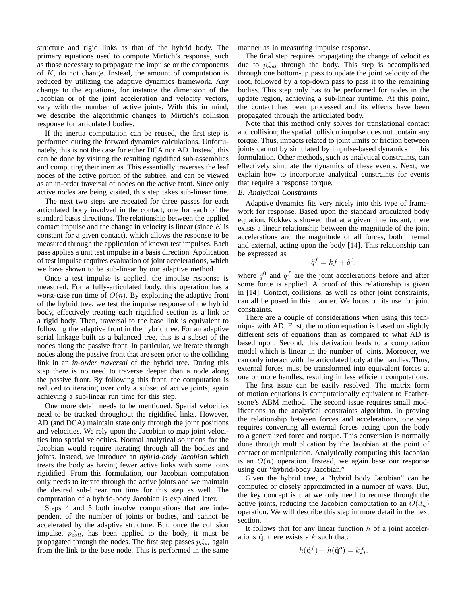structure and rigid links as that of the hybrid body. The primary equations used to compute Mirtich's response, such as those necessary to propagate the impulse or the components of  $K$ , do not change. Instead, the amount of computation is reduced by utilizing the adaptive dynamics framework. Any change to the equations, for instance the dimension of the Jacobian or of the joint acceleration and velocity vectors, vary with the number of active joints. With this in mind, we describe the algorithmic changes to Mirtich's collision response for articulated bodies.

If the inertia computation can be reused, the first step is performed during the forward dynamics calculations. Unfortunately, this is not the case for either DCA nor AD. Instead, this can be done by visiting the resulting rigidified sub-assemblies and computing their inertias. This essentially traverses the leaf nodes of the active portion of the subtree, and can be viewed as an in-order traversal of nodes on the active front. Since only active nodes are being visited, this step takes sub-linear time.

The next two steps are repeated for three passes for each articulated body involved in the contact, one for each of the standard basis directions. The relationship between the applied contact impulse and the change in velocity is linear (since  $K$  is constant for a given contact), which allows the response to be measured through the application of known test impulses. Each pass applies a unit test impulse in a basis direction. Application of test impulse requires evaluation of joint accelerations, which we have shown to be sub-linear by our adaptive method.

Once a test impulse is applied, the impulse response is measured. For a fully-articulated body, this operation has a worst-case run time of  $O(n)$ . By exploiting the adaptive front of the hybrid tree, we test the impulse response of the hybrid body, effectively treating each rigidified section as a link or a rigid body. Then, traversal to the base link is equivalent to following the adaptive front in the hybrid tree. For an adaptive serial linkage built as a balanced tree, this is a subset of the nodes along the passive front. In particular, we iterate through nodes along the passive front that are seen prior to the colliding link in an *in-order traversal* of the hybrid tree. During this step there is no need to traverse deeper than a node along the passive front. By following this front, the computation is reduced to iterating over only a subset of active joints, again achieving a sub-linear run time for this step.

One more detail needs to be mentioned. Spatial velocities need to be tracked throughout the rigidified links. However, AD (and DCA) maintain state only through the joint positions and velocities. We rely upon the Jacobian to map joint velocities into spatial velocities. Normal analytical solutions for the Jacobian would require iterating through all the bodies and joints. Instead, we introduce an *hybrid-body Jacobian* which treats the body as having fewer active links with some joins rigidified. From this formulation, our Jacobian computation only needs to iterate through the active joints and we maintain the desired sub-linear run time for this step as well. The computation of a hybrid-body Jacobian is explained later.

Steps 4 and 5 both involve computations that are independent of the number of joints or bodies, and cannot be accelerated by the adaptive structure. But, once the collision impulse,  $\hat{p}_{coll}$ , has been applied to the body, it must be propagated through the nodes. The first step passes  $p_{coll}^{\sim}$  again from the link to the base node. This is performed in the same manner as in measuring impulse response.

The final step requires propagating the change of velocities due to  $\hat{p}_{coll}$  through the body. This step is accomplished through one bottom-up pass to update the joint velocity of the root, followed by a top-down pass to pass it to the remaining bodies. This step only has to be performed for nodes in the update region, achieving a sub-linear runtime. At this point, the contact has been processed and its effects have been propagated through the articulated body.

Note that this method only solves for translational contact and collision; the spatial collision impulse does not contain any torque. Thus, impacts related to joint limits or friction between joints cannot by simulated by impulse-based dynamics in this formulation. Other methods, such as analytical constraints, can effectively simulate the dynamics of these events. Next, we explain how to incorporate analytical constraints for events that require a response torque.

## *B. Analytical Constraints*

Adaptive dynamics fits very nicely into this type of framework for response. Based upon the standard articulated body equation, Kokkevis showed that at a given time instant, there exists a linear relationship between the magnitude of the joint accelerations and the magnitude of all forces, both internal and external, acting upon the body [14]. This relationship can be expressed as

$$
\ddot{q}^f = kf + \ddot{q}^0,
$$

where  $\ddot{q}^0$  and  $\ddot{q}^f$  are the joint accelerations before and after some force is applied. A proof of this relationship is given in [14]. Contact, collisions, as well as other joint constraints, can all be posed in this manner. We focus on its use for joint constraints.

There are a couple of considerations when using this technique with AD. First, the motion equation is based on slightly different sets of equations than as compared to what AD is based upon. Second, this derivation leads to a computation model which is linear in the number of joints. Moreover, we can only interact with the articulated body at the handles. Thus, external forces must be transformed into equivalent forces at one or more handles, resulting in less efficient computations.

The first issue can be easily resolved. The matrix form of motion equations is computationally equivalent to Featherstone's ABM method. The second issue requires small modifications to the analytical constraints algorithm. In proving the relationship between forces and accelerations, one step requires converting all external forces acting upon the body to a generalized force and torque. This conversion is normally done through multiplication by the Jacobian at the point of contact or manipulation. Analytically computing this Jacobian is an  $O(n)$  operation. Instead, we again base our response using our "hybrid-body Jacobian."

Given the hybrid tree, a "hybrid body Jacobian" can be computed or closely approximated in a number of ways. But, the key concept is that we only need to recurse through the active joints, reducing the Jacobian computation to an  $O(d_n)$ operation. We will describe this step in more detail in the next section.

It follows that for any linear function  $h$  of a joint accelerations  $\ddot{q}$ , there exists a k such that:

$$
h(\ddot{\mathbf{q}}^f) - h(\ddot{\mathbf{q}}^o) = kf_i.
$$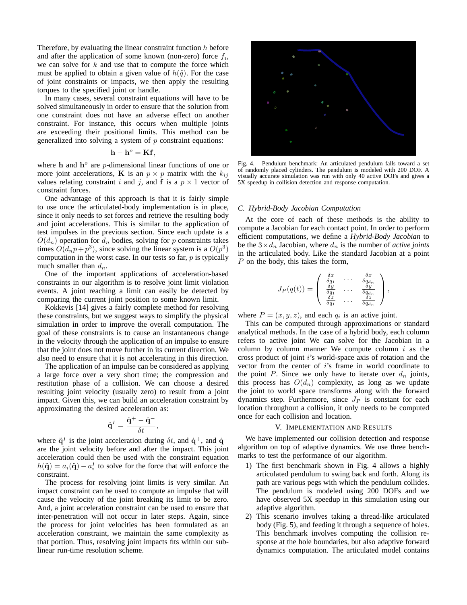Therefore, by evaluating the linear constraint function  $h$  before and after the application of some known (non-zero) force  $f_i$ , we can solve for  $k$  and use that to compute the force which must be applied to obtain a given value of  $h(\ddot{q})$ . For the case of joint constraints or impacts, we then apply the resulting torques to the specified joint or handle.

In many cases, several constraint equations will have to be solved simultaneously in order to ensure that the solution from one constraint does not have an adverse effect on another constraint. For instance, this occurs when multiple joints are exceeding their positional limits. This method can be generalized into solving a system of  $p$  constraint equations:

$$
\mathbf{h} - \mathbf{h}^o = \mathbf{K} \mathbf{f},
$$

where h and  $h^o$  are *p*-dimensional linear functions of one or more joint accelerations, **K** is an  $p \times p$  matrix with the  $k_{ij}$ values relating constraint i and j, and f is a  $p \times 1$  vector of constraint forces.

One advantage of this approach is that it is fairly simple to use once the articulated-body implementation is in place, since it only needs to set forces and retrieve the resulting body and joint accelerations. This is similar to the application of test impulses in the previous section. Since each update is a  $O(d_n)$  operation for  $d_n$  bodies, solving for p constraints takes times  $O(d_np + p^3)$ , since solving the linear system is a  $O(p^3)$ computation in the worst case. In our tests so far,  $p$  is typically much smaller than  $d_n$ .

One of the important applications of acceleration-based constraints in our algorithm is to resolve joint limit violation events. A joint reaching a limit can easily be detected by comparing the current joint position to some known limit.

Kokkevis [14] gives a fairly complete method for resolving these constraints, but we suggest ways to simplify the physical simulation in order to improve the overall computation. The goal of these constraints is to cause an instantaneous change in the velocity through the application of an impulse to ensure that the joint does not move further in its current direction. We also need to ensure that it is not accelerating in this direction.

The application of an impulse can be considered as applying a large force over a very short time; the compression and restitution phase of a collision. We can choose a desired resulting joint velocity (usually zero) to result from a joint impact. Given this, we can build an acceleration constraint by approximating the desired acceleration as:

$$
\ddot{\mathbf{q}}^I = \frac{\dot{\mathbf{q}}^+ - \dot{\mathbf{q}}^-}{\delta t},
$$

where  $\ddot{\mathbf{q}}^I$  is the joint acceleration during  $\delta t$ , and  $\dot{\mathbf{q}}^+$ , and  $\dot{\mathbf{q}}^$ are the joint velocity before and after the impact. This joint acceleration could then be used with the constraint equation  $h(\ddot{\mathbf{q}}) = a_i(\ddot{\mathbf{q}}) - a_i^I$  to solve for the force that will enforce the constraint.

The process for resolving joint limits is very similar. An impact constraint can be used to compute an impulse that will cause the velocity of the joint breaking its limit to be zero. And, a joint acceleration constraint can be used to ensure that inter-penetration will not occur in later steps. Again, since the process for joint velocities has been formulated as an acceleration constraint, we maintain the same complexity as that portion. Thus, resolving joint impacts fits within our sublinear run-time resolution scheme.



Fig. 4. Pendulum benchmark: An articulated pendulum falls toward a set of randomly placed cylinders. The pendulum is modeled with 200 DOF. A visually accurate simulation was run with only 40 active DOFs and gives a 5X speedup in collision detection and response computation.

#### *C. Hybrid-Body Jacobian Computation*

At the core of each of these methods is the ability to compute a Jacobian for each contact point. In order to perform efficient computations, we define a *Hybrid-Body Jacobian* to be the  $3 \times d_n$  Jacobian, where  $d_n$  is the number of *active joints* in the articulated body. Like the standard Jacobian at a point P on the body, this takes the form,

$$
J_P(q(t)) = \begin{pmatrix} \frac{\delta x}{\delta q_1} & \cdots & \frac{\delta x}{\delta q_{dn}} \\ \frac{\delta y}{q_1} & \cdots & \frac{\delta y}{\delta q_{dn}} \\ \frac{\delta z}{\delta q_1} & \cdots & \frac{\delta z}{\delta q_{dn}} \end{pmatrix},
$$

where  $P = (x, y, z)$ , and each  $q_i$  is an active joint.

This can be computed through approximations or standard analytical methods. In the case of a hybrid body, each column refers to active joint We can solve for the Jacobian in a column by column manner We compute column  $i$  as the cross product of joint  $i$ 's world-space axis of rotation and the vector from the center of i's frame in world coordinate to the point P. Since we only have to iterate over  $d_n$  joints, this process has  $O(d_n)$  complexity, as long as we update the joint to world space transforms along with the forward dynamics step. Furthermore, since  $J_P$  is constant for each location throughout a collision, it only needs to be computed once for each collision and location.

# V. IMPLEMENTATION AND RESULTS

We have implemented our collision detection and response algorithm on top of adaptive dynamics. We use three benchmarks to test the performance of our algorithm.

- 1) The first benchmark shown in Fig. 4 allows a highly articulated pendulum to swing back and forth. Along its path are various pegs with which the pendulum collides. The pendulum is modeled using 200 DOFs and we have observed 5X speedup in this simulation using our adaptive algorithm.
- 2) This scenario involves taking a thread-like articulated body (Fig. 5), and feeding it through a sequence of holes. This benchmark involves computing the collision response at the hole boundaries, but also adaptive forward dynamics computation. The articulated model contains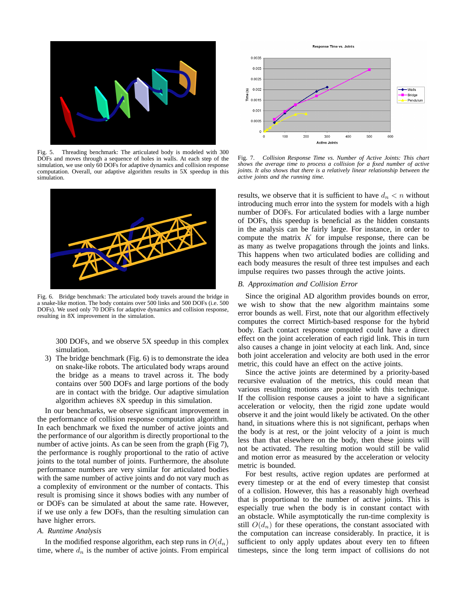

Fig. 5. Threading benchmark: The articulated body is modeled with 300 DOFs and moves through a sequence of holes in walls. At each step of the simulation, we use only 60 DOFs for adaptive dynamics and collision response computation. Overall, our adaptive algorithm results in 5X speedup in this simulation.



Fig. 6. Bridge benchmark: The articulated body travels around the bridge in a snake-like motion. The body contains over 500 links and 500 DOFs (i.e. 500 DOFs). We used only 70 DOFs for adaptive dynamics and collision response, resulting in 8X improvement in the simulation.

300 DOFs, and we observe 5X speedup in this complex simulation.

3) The bridge benchmark (Fig. 6) is to demonstrate the idea on snake-like robots. The articulated body wraps around the bridge as a means to travel across it. The body contains over 500 DOFs and large portions of the body are in contact with the bridge. Our adaptive simulation algorithm achieves 8X speedup in this simulation.

In our benchmarks, we observe significant improvement in the performance of collision response computation algorithm. In each benchmark we fixed the number of active joints and the performance of our algorithm is directly proportional to the number of active joints. As can be seen from the graph (Fig 7), the performance is roughly proportional to the ratio of active joints to the total number of joints. Furthermore, the absolute performance numbers are very similar for articulated bodies with the same number of active joints and do not vary much as a complexity of environment or the number of contacts. This result is promising since it shows bodies with any number of or DOFs can be simulated at about the same rate. However, if we use only a few DOFs, than the resulting simulation can have higher errors.

## *A. Runtime Analysis*

In the modified response algorithm, each step runs in  $O(d_n)$ time, where  $d_n$  is the number of active joints. From empirical



Fig. 7. *Collision Response Time vs. Number of Active Joints: This chart shows the average time to process a collision for a fixed number of active joints. It also shows that there is a relatively linear relationship between the active joints and the running time.*

results, we observe that it is sufficient to have  $d_n < n$  without introducing much error into the system for models with a high number of DOFs. For articulated bodies with a large number of DOFs, this speedup is beneficial as the hidden constants in the analysis can be fairly large. For instance, in order to compute the matrix  $K$  for impulse response, there can be as many as twelve propagations through the joints and links. This happens when two articulated bodies are colliding and each body measures the result of three test impulses and each impulse requires two passes through the active joints.

## *B. Approximation and Collision Error*

Since the original AD algorithm provides bounds on error, we wish to show that the new algorithm maintains some error bounds as well. First, note that our algorithm effectively computes the correct Mirtich-based response for the hybrid body. Each contact response computed could have a direct effect on the joint acceleration of each rigid link. This in turn also causes a change in joint velocity at each link. And, since both joint acceleration and velocity are both used in the error metric, this could have an effect on the active joints.

Since the active joints are determined by a priority-based recursive evaluation of the metrics, this could mean that various resulting motions are possible with this technique. If the collision response causes a joint to have a significant acceleration or velocity, then the rigid zone update would observe it and the joint would likely be activated. On the other hand, in situations where this is not significant, perhaps when the body is at rest, or the joint velocity of a joint is much less than that elsewhere on the body, then these joints will not be activated. The resulting motion would still be valid and motion error as measured by the acceleration or velocity metric is bounded.

For best results, active region updates are performed at every timestep or at the end of every timestep that consist of a collision. However, this has a reasonably high overhead that is proportional to the number of active joints. This is especially true when the body is in constant contact with an obstacle. While asymptotically the run-time complexity is still  $O(d_n)$  for these operations, the constant associated with the computation can increase considerably. In practice, it is sufficient to only apply updates about every ten to fifteen timesteps, since the long term impact of collisions do not